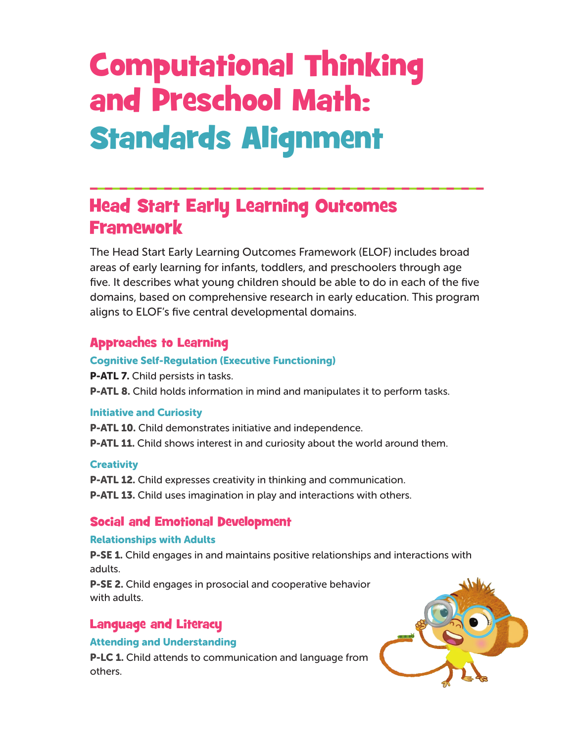# Computational Thinking and Preschool Math: Standards Alignment

# Head Start Early Learning Outcomes Framework

The Head Start Early Learning Outcomes Framework (ELOF) includes broad areas of early learning for infants, toddlers, and preschoolers through age five. It describes what young children should be able to do in each of the five domains, based on comprehensive research in early education. This program aligns to ELOF's five central developmental domains.

## Approaches to Learning

## Cognitive Self-Regulation (Executive Functioning)

**P-ATL 7.** Child persists in tasks.

**P-ATL 8.** Child holds information in mind and manipulates it to perform tasks.

## Initiative and Curiosity

**P-ATL 10.** Child demonstrates initiative and independence. **P-ATL 11.** Child shows interest in and curiosity about the world around them.

## **Creativity**

**P-ATL 12.** Child expresses creativity in thinking and communication.

**P-ATL 13.** Child uses imagination in play and interactions with others.

## Social and Emotional Development

## Relationships with Adults

**P-SE 1.** Child engages in and maintains positive relationships and interactions with adults.

P-SE 2. Child engages in prosocial and cooperative behavior with adults.

## Language and Literacy

## Attending and Understanding

P-LC 1. Child attends to communication and language from others.

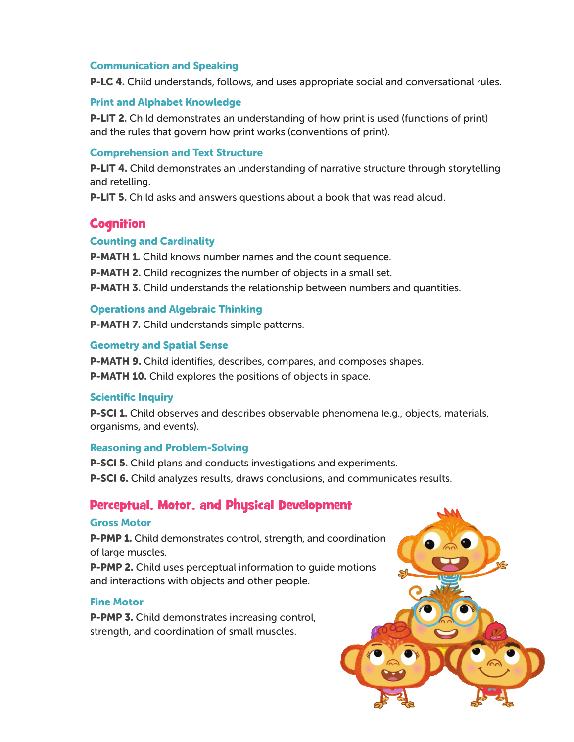#### Communication and Speaking

**P-LC 4.** Child understands, follows, and uses appropriate social and conversational rules.

#### Print and Alphabet Knowledge

P-LIT 2. Child demonstrates an understanding of how print is used (functions of print) and the rules that govern how print works (conventions of print).

#### Comprehension and Text Structure

**P-LIT 4.** Child demonstrates an understanding of narrative structure through storytelling and retelling.

P-LIT 5. Child asks and answers questions about a book that was read aloud.

## **Cognition**

#### Counting and Cardinality

**P-MATH 1.** Child knows number names and the count sequence.

**P-MATH 2.** Child recognizes the number of objects in a small set.

P-MATH 3. Child understands the relationship between numbers and quantities.

#### Operations and Algebraic Thinking

P-MATH 7. Child understands simple patterns.

#### Geometry and Spatial Sense

P-MATH 9. Child identifies, describes, compares, and composes shapes. **P-MATH 10.** Child explores the positions of objects in space.

#### Scientific Inquiry

**P-SCI 1.** Child observes and describes observable phenomena (e.g., objects, materials, organisms, and events).

#### Reasoning and Problem-Solving

**P-SCI 5.** Child plans and conducts investigations and experiments.

P-SCI 6. Child analyzes results, draws conclusions, and communicates results.

## Perceptual, Motor, and Physical Development

#### Gross Motor

**P-PMP 1.** Child demonstrates control, strength, and coordination of large muscles.

**P-PMP 2.** Child uses perceptual information to quide motions and interactions with objects and other people.

#### Fine Motor

P-PMP 3. Child demonstrates increasing control, strength, and coordination of small muscles.